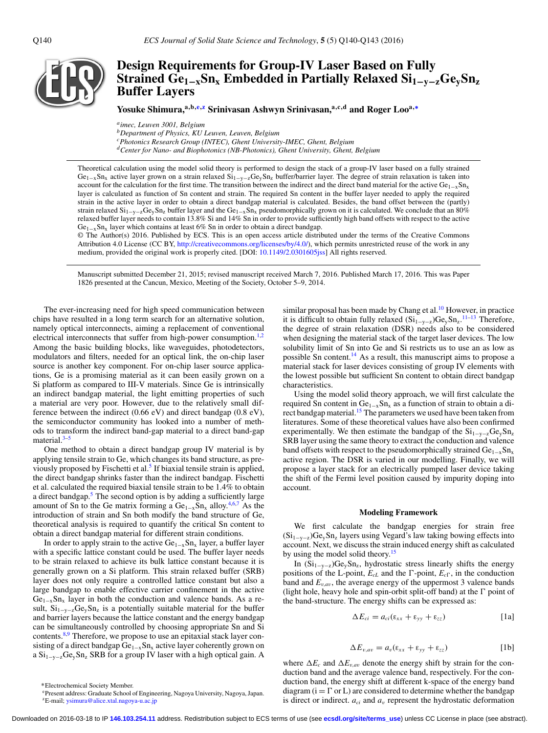

# **Design Requirements for Group-IV Laser Based on Fully**  $\frac{1}{2}$ Strained  $\frac{1}{2}$  $\frac{1}{2}$  $\frac{1}{2}$  $\frac{1}{2}$  $\frac{1}{2}$  $\frac{1}{2}$  $\frac{1}{2}$  $\frac{1}{2}$  $\frac{1}{2}$  $\frac{1}{2}$  $\frac{1}{2}$  $\frac{1}{2}$  $\frac{1}{2}$  $\frac{1}{2}$  $\frac{1}{2}$  $\frac{1}{2}$  $\frac{1}{2}$  $\frac{1}{2}$  $\frac{1}{2}$  $\frac{1}{2}$  $\frac{1}{2}$  $\frac{1}{2}$  $\frac{1$ **Buffer Layers**

Yosuke Shimura,<sup>a,b[,e,](#page-0-0)[z](#page-0-1)</sup> Srinivasan Ashwyn Srinivasan,<sup>a,c,d</sup> and Roger Loo<sup>a,[∗](#page-0-2)</sup>

*aimec, Leuven 3001, Belgium bDepartment of Physics, KU Leuven, Leuven, Belgium cPhotonics Research Group (INTEC), Ghent University-IMEC, Ghent, Belgium dCenter for Nano- and Biophotonics (NB-Photonics), Ghent University, Ghent, Belgium*

Theoretical calculation using the model solid theory is performed to design the stack of a group-IV laser based on a fully strained  $Ge_{1-x}Sn_x$  active layer grown on a strain relaxed  $Si_{1-y-z}Ge_ySn_z$  buffer/barrier layer. The degree of strain relaxation is taken into account for the calculation for the first time. The transition between the indirect and the direct band material for the active Ge<sub>1–x</sub>Sn<sub>x</sub> layer is calculated as function of Sn content and strain. The required Sn content in the buffer layer needed to apply the required strain in the active layer in order to obtain a direct bandgap material is calculated. Besides, the band offset between the (partly) strain relaxed  $Si_{1-y-z}Ge_ySn_z$  buffer layer and the  $Ge_{1-x}Sn_x$  pseudomorphically grown on it is calculated. We conclude that an 80% relaxed buffer layer needs to contain 13.8% Si and 14% Sn in order to provide sufficiently high band offsets with respect to the active  $Ge_{1-x}Sn_x$  layer which contains at least 6% Sn in order to obtain a direct bandgap.

© The Author(s) 2016. Published by ECS. This is an open access article distributed under the terms of the Creative Commons Attribution 4.0 License (CC BY, [http://creativecommons.org/licenses/by/4.0/\)](http://creativecommons.org/licenses/by/4.0/), which permits unrestricted reuse of the work in any medium, provided the original work is properly cited. [DOI: [10.1149/2.0301605jss\]](http://dx.doi.org/10.1149/2.0301605jss) All rights reserved.

Manuscript submitted December 21, 2015; revised manuscript received March 7, 2016. Published March 17, 2016. This was Paper 1826 presented at the Cancun, Mexico, Meeting of the Society, October 5–9, 2014.

The ever-increasing need for high speed communication between chips have resulted in a long term search for an alternative solution, namely optical interconnects, aiming a replacement of conventional electrical interconnects that suffer from high-power consumption.<sup>[1,](#page-3-0)[2](#page-3-1)</sup> Among the basic building blocks, like waveguides, photodetectors, modulators and filters, needed for an optical link, the on-chip laser source is another key component. For on-chip laser source applications, Ge is a promising material as it can been easily grown on a Si platform as compared to III-V materials. Since Ge is intrinsically an indirect bandgap material, the light emitting properties of such a material are very poor. However, due to the relatively small difference between the indirect (0.66 eV) and direct bandgap (0.8 eV), the semiconductor community has looked into a number of methods to transform the indirect band-gap material to a direct band-gap material.<sup>[3–](#page-3-2)[5](#page-3-3)</sup>

One method to obtain a direct bandgap group IV material is by applying tensile strain to Ge, which changes its band structure, as previously proposed by Fischetti et al.<sup>5</sup> If biaxial tensile strain is applied, the direct bandgap shrinks faster than the indirect bandgap. Fischetti et al. calculated the required biaxial tensile strain to be 1.4% to obtain a direct bandgap. $5$  The second option is by adding a sufficiently large amount of Sn to the Ge matrix forming a  $Ge_{1-x}Sn_x$  alloy.<sup>[4,](#page-3-4)[6,](#page-3-5)[7](#page-3-6)</sup> As the introduction of strain and Sn both modify the band structure of Ge, theoretical analysis is required to quantify the critical Sn content to obtain a direct bandgap material for different strain conditions.

In order to apply strain to the active  $Ge_{1-x}Sn_x$  layer, a buffer layer with a specific lattice constant could be used. The buffer layer needs to be strain relaxed to achieve its bulk lattice constant because it is generally grown on a Si platform. This strain relaxed buffer (SRB) layer does not only require a controlled lattice constant but also a large bandgap to enable effective carrier confinement in the active  $Ge_{1-x}Sn_x$  layer in both the conduction and valence bands. As a result,  $Si_{1-y-z}Ge_ySn_z$  is a potentially suitable material for the buffer and barrier layers because the lattice constant and the energy bandgap can be simultaneously controlled by choosing appropriate Sn and Si contents.<sup>[8,](#page-3-7)[9](#page-3-8)</sup> Therefore, we propose to use an epitaxial stack layer consisting of a direct bandgap Ge<sub>1−x</sub>Sn<sub>x</sub> active layer coherently grown on a  $\rm Si_{1-y-z}Ge_{y}Sn_{z}$  SRB for a group IV laser with a high optical gain. A

similar proposal has been made by Chang et al. $^{10}$  $^{10}$  $^{10}$  However, in practice it is difficult to obtain fully relaxed  $(Si_{1-y-z})Ge_ySn_z$ .<sup>[11](#page-3-10)[–13](#page-3-11)</sup> Therefore, the degree of strain relaxation (DSR) needs also to be considered when designing the material stack of the target laser devices. The low solubility limit of Sn into Ge and Si restricts us to use an as low as possible Sn content.<sup>14</sup> As a result, this manuscript aims to propose a material stack for laser devices consisting of group IV elements with the lowest possible but sufficient Sn content to obtain direct bandgap characteristics.

Using the model solid theory approach, we will first calculate the required Sn content in  $Ge_{1-x}Sn_x$  as a function of strain to obtain a direct bandgap material.<sup>15</sup> The parameters we used have been taken from literatures. Some of these theoretical values have also been confirmed experimentally. We then estimate the bandgap of the  $Si_{1-y-z}Ge_{y}Sn_{z}$ SRB layer using the same theory to extract the conduction and valence band offsets with respect to the pseudomorphically strained  $Ge_{1-x}Sn_x$ active region. The DSR is varied in our modelling. Finally, we will propose a layer stack for an electrically pumped laser device taking the shift of the Fermi level position caused by impurity doping into account.

#### **Modeling Framework**

We first calculate the bandgap energies for strain free  $(Si_{1-y-z})Ge_{y}Sn_{z}$  layers using Vegard's law taking bowing effects into account. Next, we discuss the strain induced energy shift as calculated by using the model solid theory.<sup>15</sup>

In  $(Si_{1-y-z})Ge_ySn_z$ , hydrostatic stress linearly shifts the energy positions of the L-point,  $E_{cL}$  and the  $\Gamma$ -point,  $E_{c\Gamma}$ , in the conduction band and  $E_{v,av}$ , the average energy of the uppermost 3 valence bands (light hole, heavy hole and spin-orbit split-off band) at the  $\Gamma$  point of the band-structure. The energy shifts can be expressed as:

$$
\Delta E_{ci} = a_{ci} (\epsilon_{xx} + \epsilon_{yy} + \epsilon_{zz})
$$
 [1a]

$$
\Delta E_{v,av} = a_v(\varepsilon_{xx} + \varepsilon_{yy} + \varepsilon_{zz})
$$
 [1b]

where  $\Delta E_c$  and  $\Delta E_{v,av}$  denote the energy shift by strain for the conduction band and the average valence band, respectively. For the conduction band, the energy shift at different k-space of the energy band diagram ( $i = \Gamma$  or L) are considered to determine whether the bandgap is direct or indirect.  $a_{ci}$  and  $a_v$  represent the hydrostatic deformation

<span id="page-0-2"></span><sup>∗</sup>Electrochemical Society Member.

<span id="page-0-1"></span><span id="page-0-0"></span>ePresent address: Graduate School of Engineering, Nagoya University, Nagoya, Japan. zE-mail; [ysimura@alice.xtal.nagoya-u.ac.jp](mailto:ysimura@alice.xtal.nagoya-u.ac.jp)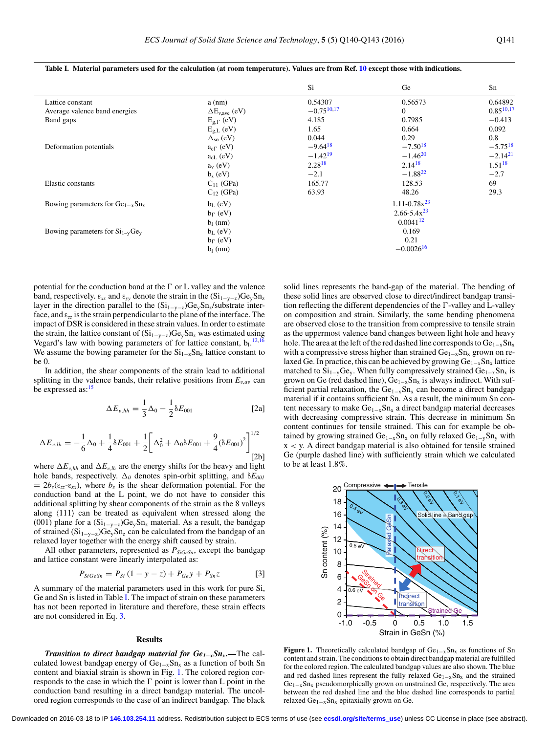|                                      |                         | Si              | Ge                  | Sn             |
|--------------------------------------|-------------------------|-----------------|---------------------|----------------|
| Lattice constant                     | $a$ (nm)                | 0.54307         | 0.56573             | 0.64892        |
| Average valence band energies        | $\Delta E_{v,ave}$ (eV) | $-0.75^{10,17}$ | $\Omega$            | $0.85^{10,17}$ |
| Band gaps                            | $E_{g,\Gamma}$ (eV)     | 4.185           | 0.7985              | $-0.413$       |
|                                      | $E_{g,L}$ (eV)          | 1.65            | 0.664               | 0.092          |
|                                      | $\Delta_{so}$ (eV)      | 0.044           | 0.29                | 0.8            |
| Deformation potentials               | $a_{c}$ (eV)            | $-9.64^{18}$    | $-7.50^{18}$        | $-5.75^{18}$   |
|                                      | $a_{cL}$ (eV)           | $-1.42^{19}$    | $-1.46^{20}$        | $-2.14^{21}$   |
|                                      | $a_v$ (eV)              | $2.28^{18}$     | $2.14^{18}$         | $1.51^{18}$    |
|                                      | $b_s$ (eV)              | $-2.1$          | $-1.88^{22}$        | $-2.7$         |
| Elastic constants                    | $C_{11}$ (GPa)          | 165.77          | 128.53              | 69             |
|                                      | $C_{12}$ (GPa)          | 63.93           | 48.26               | 29.3           |
| Bowing parameters for $Ge_{1-x}Sn_x$ | $b_L$ (eV)              |                 | $1.11 - 0.78x^{23}$ |                |
|                                      | $b_{\Gamma}$ (eV)       |                 | $2.66 - 5.4x^{23}$  |                |
|                                      | $b_1$ (nm)              |                 | $0.0041^{12}$       |                |
| Bowing parameters for $Si_{1-v}Ge_v$ | $b_L$ (eV)              |                 | 0.169               |                |
|                                      | $b_{\Gamma}$ (eV)       |                 | 0.21                |                |
|                                      | $b_1$ (nm)              |                 | $-0.0026^{16}$      |                |
|                                      |                         |                 |                     |                |

<span id="page-1-0"></span>**Table I. Material parameters used for the calculation (at room temperature). Values are from Ref. [10](#page-3-9) except those with indications.**

potential for the conduction band at the  $\Gamma$  or L valley and the valence band, respectively.  $\varepsilon_{xx}$  and  $\varepsilon_{yy}$  denote the strain in the  $(Si_{1-y-z})Ge_ySn_z$ layer in the direction parallel to the  $(Si_{1-y-z})Ge_ySn_z/substrate$  interface, and ε*zz* is the strain perpendicular to the plane of the interface. The impact of DSR is considered in these strain values. In order to estimate the strain, the lattice constant of  $(Si_{1-y-z})Ge_ySn_z$  was estimated using Vegard's law with bowing parameters of for lattice constant,  $b_1$ ,  $12,16$  $12,16$ We assume the bowing parameter for the  $Si_{1-z}Sn_z$  lattice constant to be 0.

In addition, the shear components of the strain lead to additional splitting in the valence bands, their relative positions from  $E_{v,av}$  can be expressed as:<sup>15</sup>

$$
\Delta E_{v, hh} = \frac{1}{3} \Delta_0 - \frac{1}{2} \delta E_{001}
$$
 [2a]

$$
\Delta E_{v,lh} = -\frac{1}{6}\Delta_0 + \frac{1}{4}\delta E_{001} + \frac{1}{2}\bigg[\Delta_0^2 + \Delta_0\delta E_{001} + \frac{9}{4}(\delta E_{001})^2\bigg]^{1/2}
$$
\n<sup>(2b)</sup>

where  $\Delta E_{v,hh}$  and  $\Delta E_{v,hh}$  are the energy shifts for the heavy and light hole bands, respectively.  $\Delta_0$  denotes spin-orbit splitting, and  $\delta E_{001}$  $= 2b_s(\epsilon_{zz} - \epsilon_{xx})$ , where  $b_s$  is the shear deformation potential. For the conduction band at the L point, we do not have to consider this additional splitting by shear components of the strain as the 8 valleys along  $\langle 111 \rangle$  can be treated as equivalent when stressed along the (001) plane for a  $(Si_{1-y-z})Ge_ySn_z$  material. As a result, the bandgap of strained  $(Si_{1-y-z})Ge_ySn_z$  can be calculated from the bandgap of an relaxed layer together with the energy shift caused by strain.

All other parameters, represented as  $P_{SiGeSn}$ , except the bandgap and lattice constant were linearly interpolated as:

$$
P_{SiGeSn} = P_{Si} (1 - y - z) + P_{Ge} y + P_{Sn} z \tag{3}
$$

A summary of the material parameters used in this work for pure Si, Ge and Sn is listed in Table [I.](#page-1-0) The impact of strain on these parameters has not been reported in literature and therefore, these strain effects are not considered in Eq. [3.](#page-1-1)

#### <span id="page-1-1"></span>**Results**

*Transition to direct bandgap material for Ge<sub>1−x</sub>Sn<sub>x</sub>.—The cal*culated lowest bandgap energy of  $Ge_{1-x}Sn_x$  as a function of both Sn content and biaxial strain is shown in Fig. [1.](#page-1-2) The colored region corresponds to the case in which the  $\Gamma$  point is lower than L point in the conduction band resulting in a direct bandgap material. The uncolored region corresponds to the case of an indirect bandgap. The black solid lines represents the band-gap of the material. The bending of these solid lines are observed close to direct/indirect bandgap transition reflecting the different dependencies of the  $\Gamma$ -valley and L-valley on composition and strain. Similarly, the same bending phenomena are observed close to the transition from compressive to tensile strain as the uppermost valence band changes between light hole and heavy hole. The area at the left of the red dashed line corresponds to  $Ge_{1-x}Sn_x$ with a compressive stress higher than strained Ge<sub>1−x</sub>Sn<sub>x</sub> grown on relaxed Ge. In practice, this can be achieved by growing  $Ge_{1-x}Sn_x$  lattice matched to  $Si_{1-v}Ge_v$ . When fully compressively strained  $Ge_{1-x}Sn_x$  is grown on Ge (red dashed line),  $Ge_{1-x}Sn_x$  is always indirect. With sufficient partial relaxation, the Ge<sub>1−x</sub>Sn<sub>x</sub> can become a direct bandgap material if it contains sufficient Sn. As a result, the minimum Sn content necessary to make  $Ge_{1-x}Sn_x$  a direct bandgap material decreases with decreasing compressive strain. This decrease in minimum Sn content continues for tensile strained. This can for example be obtained by growing strained  $Ge_{1-x}Sn_x$  on fully relaxed  $Ge_{1-y}Sn_y$  with x < y. A direct bandgap material is also obtained for tensile strained Ge (purple dashed line) with sufficiently strain which we calculated to be at least 1.8%.

<span id="page-1-2"></span>

**Figure 1.** Theoretically calculated bandgap of Ge<sub>1−x</sub>Sn<sub>x</sub> as functions of Sn content and strain. The conditions to obtain direct bandgap material are fulfilled for the colored region. The calculated bandgap values are also shown. The blue and red dashed lines represent the fully relaxed  $Ge_{1-x}Sn_x$  and the strained  $Ge<sub>1-x</sub>Sn<sub>x</sub>$  pseudomorphically grown on unstrained Ge, respectively. The area between the red dashed line and the blue dashed line corresponds to partial relaxed Ge<sub>1−x</sub>Sn<sub>x</sub> epitaxially grown on Ge.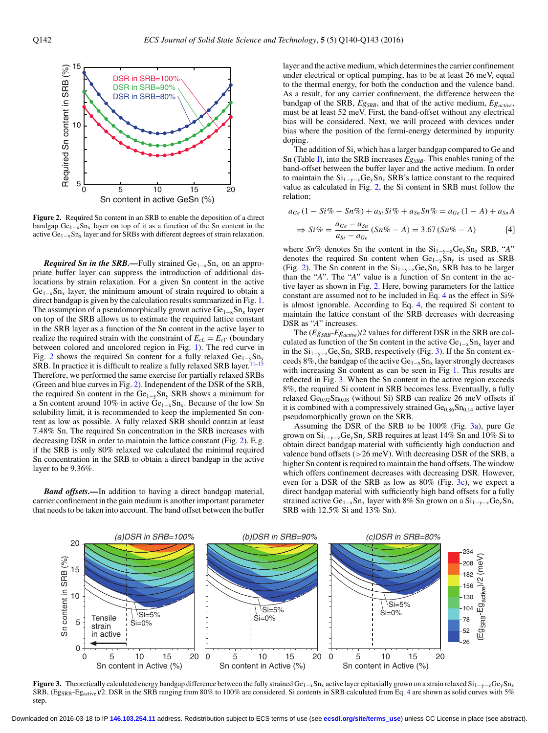<span id="page-2-0"></span>

**Figure 2.** Required Sn content in an SRB to enable the deposition of a direct bandgap  $Ge_{1-x}Sn_x$  layer on top of it as a function of the Sn content in the active  $\hat{Ge}_{1-x}$ Sn<sub>x</sub> layer and for SRBs with different degrees of strain relaxation.

*Required Sn in the SRB*.—Fully strained Ge<sub>1-x</sub>Sn<sub>x</sub> on an appropriate buffer layer can suppress the introduction of additional dislocations by strain relaxation. For a given Sn content in the active  $Ge<sub>1-x</sub>Sn<sub>x</sub>$  layer, the minimum amount of strain required to obtain a direct bandgap is given by the calculation results summarized in Fig. [1.](#page-1-2) The assumption of a pseudomorphically grown active  $Ge<sub>1-x</sub>Sn<sub>x</sub>$  layer on top of the SRB allows us to estimate the required lattice constant in the SRB layer as a function of the Sn content in the active layer to realize the required strain with the constraint of  $E_{cL} = E_{c}$  (boundary between colored and uncolored region in Fig. [1\)](#page-1-2). The red curve in Fig. [2](#page-2-0) shows the required Sn content for a fully relaxed Ge<sub>1−y</sub>Sn<sub>y</sub> SRB. In practice it is difficult to realize a fully relaxed SRB layer.<sup>11–[13](#page-3-11)</sup> Therefore, we performed the same exercise for partially relaxed SRBs (Green and blue curves in Fig. [2\)](#page-2-0). Independent of the DSR of the SRB, the required Sn content in the Ge1−ySny SRB shows a minimum for a Sn content around 10% in active Ge<sub>1-x</sub>Sn<sub>x</sub>. Because of the low Sn solubility limit, it is recommended to keep the implemented Sn content as low as possible. A fully relaxed SRB should contain at least 7.48% Sn. The required Sn concentration in the SRB increases with decreasing DSR in order to maintain the lattice constant (Fig. [2\)](#page-2-0). E.g. if the SRB is only 80% relaxed we calculated the minimal required Sn concentration in the SRB to obtain a direct bandgap in the active layer to be 9.36%.

*Band offsets.—*In addition to having a direct bandgap material, carrier confinement in the gain medium is another important parameter that needs to be taken into account. The band offset between the buffer layer and the active medium, which determines the carrier confinement under electrical or optical pumping, has to be at least 26 meV, equal to the thermal energy, for both the conduction and the valence band. As a result, for any carrier confinement, the difference between the bandgap of the SRB,  $Eg_{SRB}$ , and that of the active medium,  $Eg_{active}$ , must be at least 52 meV. First, the band-offset without any electrical bias will be considered. Next, we will proceed with devices under bias where the position of the fermi-energy determined by impurity doping.

The addition of Si, which has a larger bandgap compared to Ge and Sn (Table [I\)](#page-1-0), into the SRB increases  $E_{SSRB}$ . This enables tuning of the band-offset between the buffer layer and the active medium. In order to maintain the  $Si_{1-y-z}Ge_ySn_z$  SRB's lattice constant to the required value as calculated in Fig. [2,](#page-2-0) the Si content in SRB must follow the relation;

$$
a_{Ge} (1 - Si\% - Sn\%) + a_{Si} Si\% + a_{Sn} Sn\% = a_{Ge} (1 - A) + a_{Sn} A
$$

<span id="page-2-1"></span>
$$
\Rightarrow Si\% = \frac{a_{Ge} - a_{Sn}}{a_{Si} - a_{Ge}} (Sn\% - A) = 3.67 (Sn\% - A)
$$
 [4]

where *Sn%* denotes Sn the content in the Si<sub>1−y−z</sub>Ge<sub>y</sub>Sn<sub>z</sub> SRB, "*A*" denotes the required Sn content when  $Ge_{1-y}Sn_y$  is used as SRB (Fig. [2\)](#page-2-0). The Sn content in the  $Si_{1-y-z}Ge_ySn_z$  SRB has to be larger than the "*A*". The "*A*" value is a function of Sn content in the active layer as shown in Fig. [2.](#page-2-0) Here, bowing parameters for the lattice constant are assumed not to be included in Eq. [4](#page-2-1) as the effect in Si% is almost ignorable. According to Eq. [4,](#page-2-1) the required Si content to maintain the lattice constant of the SRB decreases with decreasing DSR as "*A*" increases.

The (*EgSRB*-*Egactive*)/2 values for different DSR in the SRB are calculated as function of the Sn content in the active  $Ge<sub>1-x</sub>Sn<sub>x</sub>$  layer and in the  $Si_{1-y-z}Ge_ySn_z$  SRB, respectively (Fig. [3\)](#page-2-2). If the Sn content exceeds 8%, the bandgap of the active Ge<sub>1−x</sub>Sn<sub>x</sub> layer strongly decreases with increasing Sn content as can be seen in Fig [1.](#page-1-2) This results are reflected in Fig. [3.](#page-2-2) When the Sn content in the active region exceeds 8%, the required Si content in SRB becomes less. Eventually, a fully relaxed  $Ge_{0.92}Sn_{0.08}$  (without Si) SRB can realize 26 meV offsets if it is combined with a compressively strained  $Ge<sub>0.86</sub>Sn<sub>0.14</sub>$  active layer pseudomorphically grown on the SRB.

Assuming the DSR of the SRB to be 100% (Fig. [3a\)](#page-2-2), pure Ge grown on  $Si_{1-y-z}Ge_ySn_z$  SRB requires at least 14% Sn and 10% Si to obtain direct bandgap material with sufficiently high conduction and valence band offsets ( $>26$  meV). With decreasing DSR of the SRB, a higher Sn content is required to maintain the band offsets. The window which offers confinement decreases with decreasing DSR. However, even for a DSR of the SRB as low as 80% (Fig. [3c\)](#page-2-2), we expect a direct bandgap material with sufficiently high band offsets for a fully strained active Ge<sub>1−x</sub>Sn<sub>x</sub> layer with 8% Sn grown on a Si<sub>1−y−z</sub>Ge<sub>y</sub>Sn<sub>z</sub> SRB with 12.5% Si and 13% Sn).

<span id="page-2-2"></span>

**Figure 3.** Theoretically calculated energy bandgap difference between the fully strained Ge<sub>1−x</sub>Sn<sub>x</sub> active layer epitaxially grown on a strain relaxed Si<sub>1−y−z</sub>Ge<sub>y</sub>Sn<sub>z</sub> SRB, (Eg<sub>SRB</sub>-Eg<sub>active</sub>)/2. DSR in the SRB ranging from 80% to 100% are considered. Si contents in SRB calculated from Eq. [4](#page-2-1) are shown as solid curves with 5% step.

Downloaded on 2016-03-18 to IP **146.103.254.11** address. Redistribution subject to ECS terms of use (see **[ecsdl.org/site/terms\\_use](http://ecsdl.org/site/terms_use)**) unless CC License in place (see abstract).